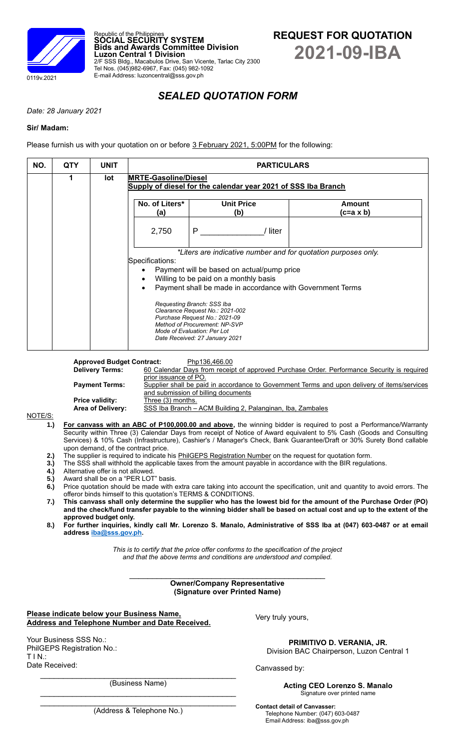

# *SEALED QUOTATION FORM*

*Date: 28 January 2021*

## **Sir/ Madam:**

Please furnish us with your quotation on or before 3 February 2021, 5:00PM for the following:

Republic of the Philippines **SOCIAL SECURITY SYSTEM**

Tel Nos. (045)982-6967, Fax: (045) 982-1092 E-mail Address: luzoncentral@sss.gov.ph

**Luzon Central 1 Division**

**Bids and Awards Committee Division**

| NO. | <b>QTY</b> | <b>UNIT</b> | <b>PARTICULARS</b><br><b>MRTE-Gasoline/Diesel</b><br>Supply of diesel for the calendar year 2021 of SSS Iba Branch                                                                                                                                                                                                                                                                                                                        |                          |       |                     |  |
|-----|------------|-------------|-------------------------------------------------------------------------------------------------------------------------------------------------------------------------------------------------------------------------------------------------------------------------------------------------------------------------------------------------------------------------------------------------------------------------------------------|--------------------------|-------|---------------------|--|
|     | 1          | lot         |                                                                                                                                                                                                                                                                                                                                                                                                                                           |                          |       |                     |  |
|     |            |             | No. of Liters*<br>(a)                                                                                                                                                                                                                                                                                                                                                                                                                     | <b>Unit Price</b><br>(b) |       | Amount<br>(c=a x b) |  |
|     |            |             | 2,750                                                                                                                                                                                                                                                                                                                                                                                                                                     | P                        | liter |                     |  |
|     |            |             | *Liters are indicative number and for quotation purposes only.<br>Specifications:<br>Payment will be based on actual/pump price<br>Willing to be paid on a monthly basis<br>Payment shall be made in accordance with Government Terms<br>Requesting Branch: SSS Iba<br>Clearance Request No.: 2021-002<br>Purchase Request No.: 2021-09<br>Method of Procurement: NP-SVP<br>Mode of Evaluation: Per Lot<br>Date Received: 27 January 2021 |                          |       |                     |  |

**Approved Budget Contract:** Php136,466.00<br>**Delivery Terms:** 60 Calendar Days from receip **Delivery Terms:** 60 Calendar Days from receipt of approved Purchase Order. Performance Security is required prior issuance of PO. **Payment Terms:** Supplier shall be paid in accordance to Government Terms and upon delivery of items/services

and submission of billing documents **Price validity:** Three (3) months.

Area of Delivery: SSS Iba Branch - ACM Building 2, Palanginan, Iba, Zambales

#### NOTE/S:

- **1.) For canvass with an ABC of P100,000.00 and above,** the winning bidder is required to post a Performance/Warranty Security within Three (3) Calendar Days from receipt of Notice of Award equivalent to 5% Cash (Goods and Consulting Services) & 10% Cash (Infrastructure), Cashier's / Manager's Check, Bank Guarantee/Draft or 30% Surety Bond callable upon demand, of the contract price.
- **2.)** The supplier is required to indicate his PhilGEPS Registration Number on the request for quotation form.
- **3.)** The SSS shall withhold the applicable taxes from the amount payable in accordance with the BIR regulations.
- **4.)** Alternative offer is not allowed.
- **5.)** Award shall be on a "PER LOT" basis.
- **6.)** Price quotation should be made with extra care taking into account the specification, unit and quantity to avoid errors. The offeror binds himself to this quotation's TERMS & CONDITIONS.
- **7.) This canvass shall only determine the supplier who has the lowest bid for the amount of the Purchase Order (PO) and the check/fund transfer payable to the winning bidder shall be based on actual cost and up to the extent of the approved budget only.**
- **8.) For further inquiries, kindly call Mr. Lorenzo S. Manalo, Administrative of SSS Iba at (047) 603-0487 or at email addres[s iba@sss.gov.ph.](mailto:iba@sss.gov.ph)**

*This is to certify that the price offer conforms to the specification of the project and that the above terms and conditions are understood and complied.*

 $\mathcal{L}_\text{max}$  , which is a set of the set of the set of the set of the set of the set of the set of the set of the set of the set of the set of the set of the set of the set of the set of the set of the set of the set of **Owner/Company Representative (Signature over Printed Name)**

| Please indicate below your Business Name,       |  |
|-------------------------------------------------|--|
| Address and Telephone Number and Date Received. |  |

Your Business SSS No.: PhilGEPS Registration No.: T I N.: Date Received:

Very truly yours,

**PRIMITIVO D. VERANIA, JR.** Division BAC Chairperson, Luzon Central 1

Signature over printed name

Canvassed by:

**Acting CEO Lorenzo S. Manalo**

 $\mathcal{L}_\text{max}$  , and the set of the set of the set of the set of the set of the set of the set of the set of the set of the set of the set of the set of the set of the set of the set of the set of the set of the set of the (Business Name)

 $\mathcal{L}_\text{max}$  , and the contract of the contract of the contract of the contract of the contract of the contract of the contract of the contract of the contract of the contract of the contract of the contract of the contr (Address & Telephone No.)

**Contact detail of Canvasser:** Telephone Number: (047) 603-0487 Email Address: iba@sss.gov.ph